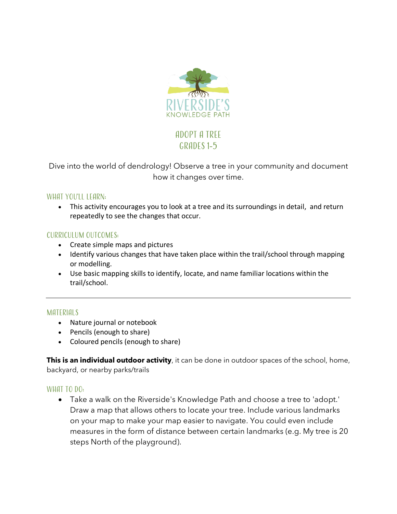

# Adopt a tree Grades 1-5

Dive into the world of dendrology! Observe a tree in your community and document how it changes over time.

#### WHAT YOU'LL LEARN:

• This activity encourages you to look at a tree and its surroundings in detail, and return repeatedly to see the changes that occur.

#### Curriculum Outcomes:

- Create simple maps and pictures
- Identify various changes that have taken place within the trail/school through mapping or modelling.
- Use basic mapping skills to identify, locate, and name familiar locations within the trail/school.

#### **MATERIALS**

- Nature journal or notebook
- Pencils (enough to share)
- Coloured pencils (enough to share)

**This is an individual outdoor activity**, it can be done in outdoor spaces of the school, home, backyard, or nearby parks/trails

#### WHAT TO DO:

• Take a walk on the Riverside's Knowledge Path and choose a tree to 'adopt.' Draw a map that allows others to locate your tree. Include various landmarks on your map to make your map easier to navigate. You could even include measures in the form of distance between certain landmarks (e.g. My tree is 20 steps North of the playground).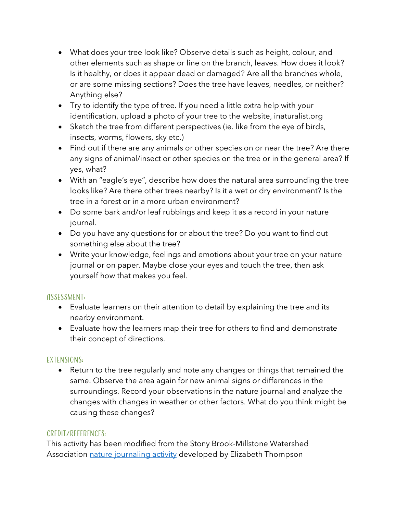- What does your tree look like? Observe details such as height, colour, and other elements such as shape or line on the branch, leaves. How does it look? Is it healthy, or does it appear dead or damaged? Are all the branches whole, or are some missing sections? Does the tree have leaves, needles, or neither? Anything else?
- Try to identify the type of tree. If you need a little extra help with your identification, upload a photo of your tree to the website, inaturalist.org
- Sketch the tree from different perspectives (ie. like from the eye of birds, insects, worms, flowers, sky etc.)
- Find out if there are any animals or other species on or near the tree? Are there any signs of animal/insect or other species on the tree or in the general area? If yes, what?
- With an "eagle's eye", describe how does the natural area surrounding the tree looks like? Are there other trees nearby? Is it a wet or dry environment? Is the tree in a forest or in a more urban environment?
- Do some bark and/or leaf rubbings and keep it as a record in your nature journal.
- Do you have any questions for or about the tree? Do you want to find out something else about the tree?
- Write your knowledge, feelings and emotions about your tree on your nature journal or on paper. Maybe close your eyes and touch the tree, then ask yourself how that makes you feel.

## Assessment:

- Evaluate learners on their attention to detail by explaining the tree and its nearby environment.
- Evaluate how the learners map their tree for others to find and demonstrate their concept of directions.

## Extensions:

• Return to the tree regularly and note any changes or things that remained the same. Observe the area again for new animal signs or differences in the surroundings. Record your observations in the nature journal and analyze the changes with changes in weather or other factors. What do you think might be causing these changes?

### Credit/References:

This activity has been modified from the Stony Brook-Millstone Watershed Association nature journaling activity developed by Elizabeth Thompson